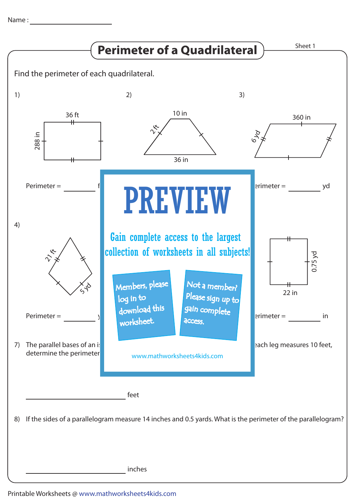